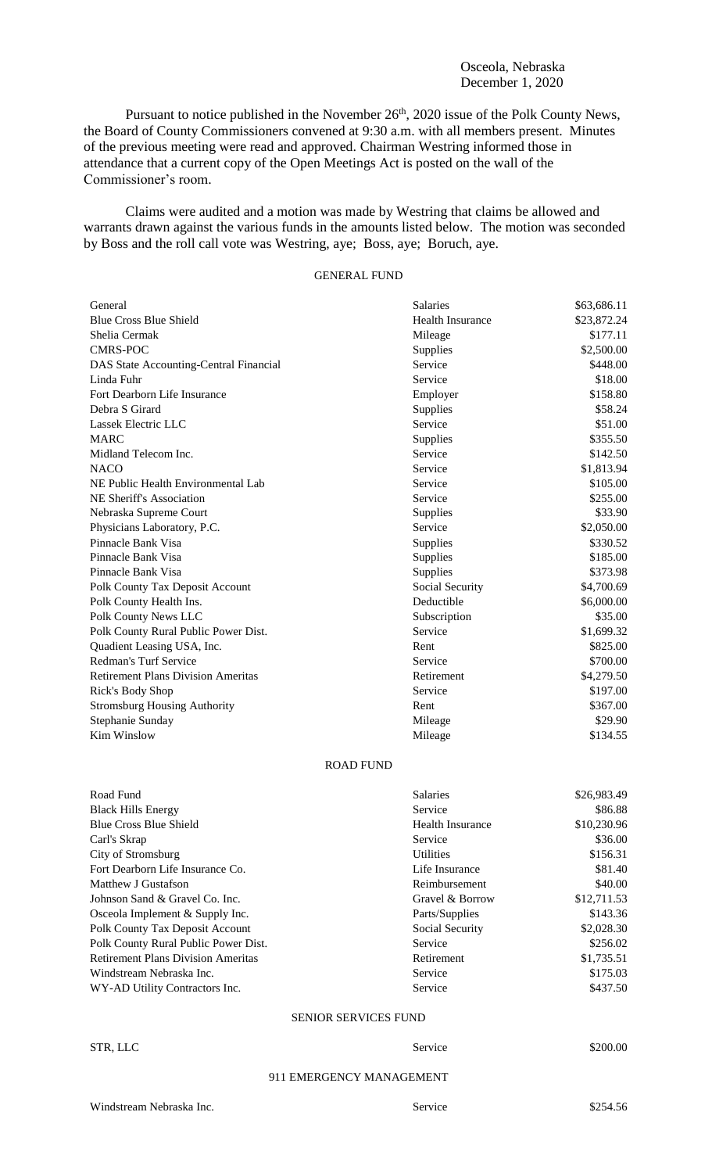## Osceola, Nebraska December 1, 2020

Pursuant to notice published in the November 26<sup>th</sup>, 2020 issue of the Polk County News, the Board of County Commissioners convened at 9:30 a.m. with all members present. Minutes of the previous meeting were read and approved. Chairman Westring informed those in attendance that a current copy of the Open Meetings Act is posted on the wall of the Commissioner's room.

Claims were audited and a motion was made by Westring that claims be allowed and warrants drawn against the various funds in the amounts listed below. The motion was seconded by Boss and the roll call vote was Westring, aye; Boss, aye; Boruch, aye.

# GENERAL FUND

| General                                   | <b>Salaries</b>         | \$63,686.11 |
|-------------------------------------------|-------------------------|-------------|
| <b>Blue Cross Blue Shield</b>             | <b>Health Insurance</b> | \$23,872.24 |
| Shelia Cermak                             | Mileage                 | \$177.11    |
| <b>CMRS-POC</b>                           | Supplies                | \$2,500.00  |
| DAS State Accounting-Central Financial    | Service                 | \$448.00    |
| Linda Fuhr                                | Service                 | \$18.00     |
| Fort Dearborn Life Insurance              | Employer                | \$158.80    |
| Debra S Girard                            | Supplies                | \$58.24     |
| Lassek Electric LLC                       | Service                 | \$51.00     |
| <b>MARC</b>                               | Supplies                | \$355.50    |
| Midland Telecom Inc.                      | Service                 | \$142.50    |
| <b>NACO</b>                               | Service                 | \$1,813.94  |
| NE Public Health Environmental Lab        | Service                 | \$105.00    |
| NE Sheriff's Association                  | Service                 | \$255.00    |
| Nebraska Supreme Court                    | Supplies                | \$33.90     |
| Physicians Laboratory, P.C.               | Service                 | \$2,050.00  |
| Pinnacle Bank Visa                        | Supplies                | \$330.52    |
| Pinnacle Bank Visa                        | Supplies                | \$185.00    |
| Pinnacle Bank Visa                        | Supplies                | \$373.98    |
| Polk County Tax Deposit Account           | Social Security         | \$4,700.69  |
| Polk County Health Ins.                   | Deductible              | \$6,000.00  |
| Polk County News LLC                      | Subscription            | \$35.00     |
| Polk County Rural Public Power Dist.      | Service                 | \$1,699.32  |
| Quadient Leasing USA, Inc.                | Rent                    | \$825.00    |
| <b>Redman's Turf Service</b>              | Service                 | \$700.00    |
| <b>Retirement Plans Division Ameritas</b> | Retirement              | \$4,279.50  |
| Rick's Body Shop                          | Service                 | \$197.00    |
| <b>Stromsburg Housing Authority</b>       | Rent                    | \$367.00    |
| Stephanie Sunday                          | Mileage                 | \$29.90     |
| Kim Winslow                               | Mileage                 | \$134.55    |

## ROAD FUND

| Road Fund                                 | Salaries                | \$26,983.49 |
|-------------------------------------------|-------------------------|-------------|
| <b>Black Hills Energy</b>                 | Service                 | \$86.88     |
| <b>Blue Cross Blue Shield</b>             | <b>Health Insurance</b> | \$10,230.96 |
| Carl's Skrap                              | Service                 | \$36.00     |
| City of Stromsburg                        | <b>Utilities</b>        | \$156.31    |
| Fort Dearborn Life Insurance Co.          | Life Insurance          | \$81.40     |
| Matthew J Gustafson                       | Reimbursement           | \$40.00     |
| Johnson Sand & Gravel Co. Inc.            | Gravel & Borrow         | \$12,711.53 |
| Osceola Implement & Supply Inc.           | Parts/Supplies          | \$143.36    |
| Polk County Tax Deposit Account           | Social Security         | \$2,028.30  |
| Polk County Rural Public Power Dist.      | Service                 | \$256.02    |
| <b>Retirement Plans Division Ameritas</b> | Retirement              | \$1,735.51  |
| Windstream Nebraska Inc.                  | Service                 | \$175.03    |
| WY-AD Utility Contractors Inc.            | Service                 | \$437.50    |

## SENIOR SERVICES FUND

| STR, LLC | Service | \$200.00 |
|----------|---------|----------|
|          |         |          |

## 911 EMERGENCY MANAGEMENT